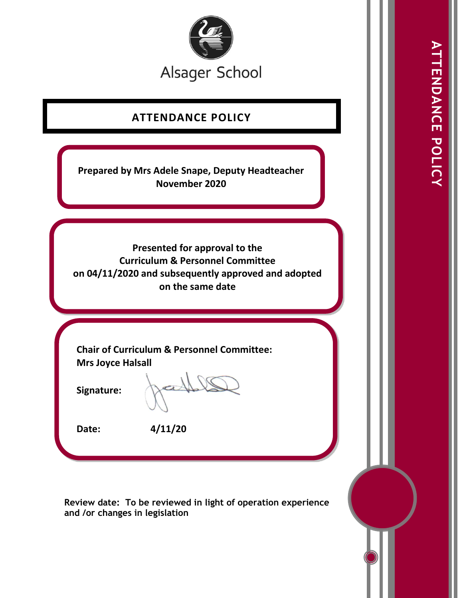

# **ATTENDANCE POLICY**

**Prepared by Mrs Adele Snape, Deputy Headteacher November 2020**

**Presented for approval to the Curriculum & Personnel Committee on 04/11/2020 and subsequently approved and adopted on the same date** 

**Chair of Curriculum & Personnel Committee: Mrs Joyce Halsall**

**Signature:** 

**Date: 4/11/20** 

**Review date: To be reviewed in light of operation experience and /or changes in legislation**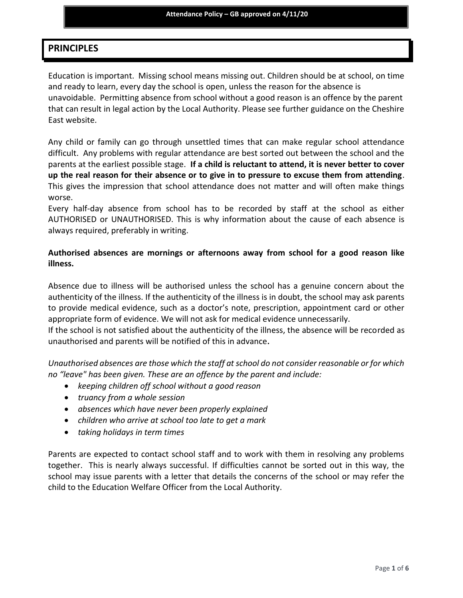# **PRINCIPLES**

Education is important. Missing school means missing out. Children should be at school, on time and ready to learn, every day the school is open, unless the reason for the absence is unavoidable. Permitting absence from school without a good reason is an offence by the parent that can result in legal action by the Local Authority. Please see further guidance on the Cheshire East website.

Any child or family can go through unsettled times that can make regular school attendance difficult. Any problems with regular attendance are best sorted out between the school and the parents at the earliest possible stage. **If a child is reluctant to attend, it is never better to cover up the real reason for their absence or to give in to pressure to excuse them from attending**. This gives the impression that school attendance does not matter and will often make things worse.

Every half-day absence from school has to be recorded by staff at the school as either AUTHORISED or UNAUTHORISED. This is why information about the cause of each absence is always required, preferably in writing.

# **Authorised absences are mornings or afternoons away from school for a good reason like illness.**

Absence due to illness will be authorised unless the school has a genuine concern about the authenticity of the illness. If the authenticity of the illness is in doubt, the school may ask parents to provide medical evidence, such as a doctor's note, prescription, appointment card or other appropriate form of evidence. We will not ask for medical evidence unnecessarily.

If the school is not satisfied about the authenticity of the illness, the absence will be recorded as unauthorised and parents will be notified of this in advance**.**

*Unauthorised absences are those which the staff at school do not consider reasonable or for which no "leave" has been given. These are an offence by the parent and include:* 

- *keeping children off school without a good reason*
- *truancy from a whole session*
- *absences which have never been properly explained*
- *children who arrive at school too late to get a mark*
- *taking holidays in term times*

Parents are expected to contact school staff and to work with them in resolving any problems together. This is nearly always successful. If difficulties cannot be sorted out in this way, the school may issue parents with a letter that details the concerns of the school or may refer the child to the Education Welfare Officer from the Local Authority.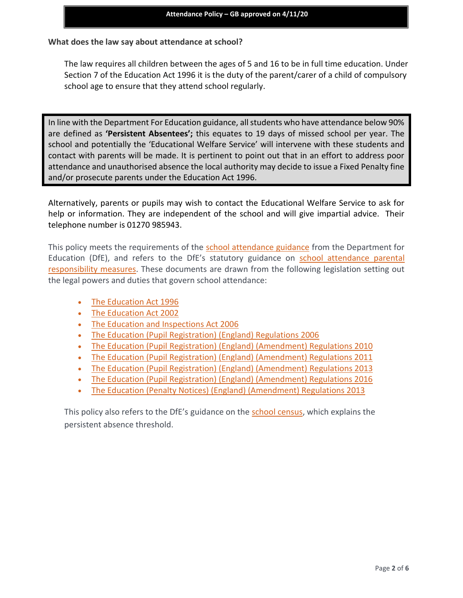## **What does the law say about attendance at school?**

The law requires all children between the ages of 5 and 16 to be in full time education. Under Section 7 of the Education Act 1996 it is the duty of the parent/carer of a child of compulsory school age to ensure that they attend school regularly.

In line with the Department For Education guidance, all students who have attendance below 90% are defined as **'Persistent Absentees';** this equates to 19 days of missed school per year. The school and potentially the 'Educational Welfare Service' will intervene with these students and contact with parents will be made. It is pertinent to point out that in an effort to address poor attendance and unauthorised absence the local authority may decide to issue a Fixed Penalty fine and/or prosecute parents under the Education Act 1996.

Alternatively, parents or pupils may wish to contact the Educational Welfare Service to ask for help or information. They are independent of the school and will give impartial advice. Their telephone number is 01270 985943.

This policy meets the requirements of the [school attendance guidance](about:blank) from the Department for Education (DfE), and refers to the DfE's statutory guidance on [school attendance parental](about:blank)  [responsibility measures.](about:blank) These documents are drawn from the following legislation setting out the legal powers and duties that govern school attendance:

- [The Education Act 1996](about:blank)
- [The Education Act 2002](about:blank)
- [The Education and Inspections Act 2006](about:blank)
- [The Education \(Pupil Registration\) \(England\) Regulations 2006](about:blank)
- The Education (Pupil [Registration\) \(England\) \(Amendment\) Regulations 2010](about:blank)
- [The Education \(Pupil Registration\) \(England\) \(Amendment\) Regulations 2011](about:blank)
- [The Education \(Pupil Registration\) \(England\) \(Amendment\) Regulations 2013](about:blank)
- [The Education \(Pupil Registration\) \(England\) \(Amendment\) Regulations 2016](about:blank)
- [The Education \(Penalty Notices\) \(England\) \(Amendment\) Regulations 2013](about:blank)

This policy also refers to the DfE's guidance on the [school census,](about:blank) which explains the persistent absence threshold.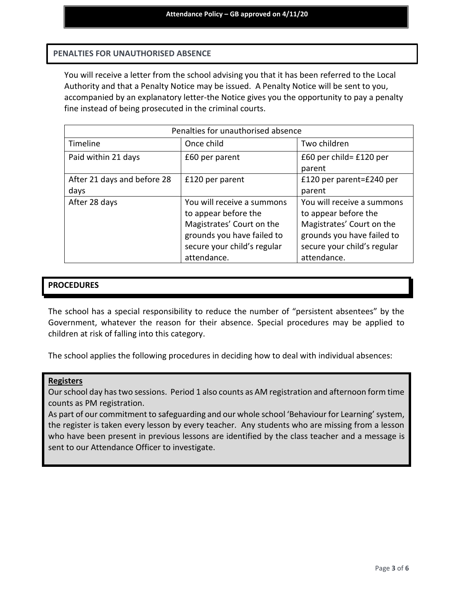## **PENALTIES FOR UNAUTHORISED ABSENCE**

You will receive a letter from the school advising you that it has been referred to the Local Authority and that a Penalty Notice may be issued. A Penalty Notice will be sent to you, accompanied by an explanatory letter-the Notice gives you the opportunity to pay a penalty fine instead of being prosecuted in the criminal courts.

| Penalties for unauthorised absence |                                                         |                                                         |
|------------------------------------|---------------------------------------------------------|---------------------------------------------------------|
| Timeline                           | Once child                                              | Two children                                            |
| Paid within 21 days                | £60 per parent                                          | £60 per child= £120 per<br>parent                       |
| After 21 days and before 28        | £120 per parent                                         | £120 per parent=£240 per                                |
| days                               |                                                         | parent                                                  |
| After 28 days                      | You will receive a summons<br>to appear before the      | You will receive a summons<br>to appear before the      |
|                                    | Magistrates' Court on the<br>grounds you have failed to | Magistrates' Court on the<br>grounds you have failed to |
|                                    | secure your child's regular<br>attendance.              | secure your child's regular<br>attendance.              |

## **PROCEDURES**

The school has a special responsibility to reduce the number of "persistent absentees" by the Government, whatever the reason for their absence. Special procedures may be applied to children at risk of falling into this category.

The school applies the following procedures in deciding how to deal with individual absences:

#### **Registers**

Our school day has two sessions. Period 1 also counts as AM registration and afternoon form time counts as PM registration.

As part of our commitment to safeguarding and our whole school 'Behaviour for Learning' system, the register is taken every lesson by every teacher. Any students who are missing from a lesson who have been present in previous lessons are identified by the class teacher and a message is sent to our Attendance Officer to investigate.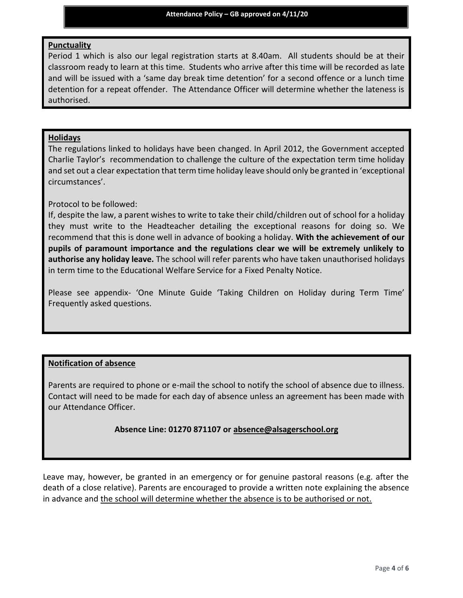### **Punctuality**

Period 1 which is also our legal registration starts at 8.40am. All students should be at their classroom ready to learn at this time. Students who arrive after this time will be recorded as late and will be issued with a 'same day break time detention' for a second offence or a lunch time detention for a repeat offender. The Attendance Officer will determine whether the lateness is authorised.

## **Holidays**

The regulations linked to holidays have been changed. In April 2012, the Government accepted Charlie Taylor's recommendation to challenge the culture of the expectation term time holiday and set out a clear expectation that term time holiday leave should only be granted in 'exceptional circumstances'.

## Protocol to be followed:

If, despite the law, a parent wishes to write to take their child/children out of school for a holiday they must write to the Headteacher detailing the exceptional reasons for doing so. We recommend that this is done well in advance of booking a holiday. **With the achievement of our pupils of paramount importance and the regulations clear we will be extremely unlikely to authorise any holiday leave.** The school will refer parents who have taken unauthorised holidays in term time to the Educational Welfare Service for a Fixed Penalty Notice.

Please see appendix- 'One Minute Guide 'Taking Children on Holiday during Term Time' Frequently asked questions.

## **Notification of absence**

Parents are required to phone or e-mail the school to notify the school of absence due to illness. Contact will need to be made for each day of absence unless an agreement has been made with our Attendance Officer.

## **Absence Line: 01270 871107 or [absence@alsagerschool.org](about:blank)**

Leave may, however, be granted in an emergency or for genuine pastoral reasons (e.g. after the death of a close relative). Parents are encouraged to provide a written note explaining the absence in advance and the school will determine whether the absence is to be authorised or not.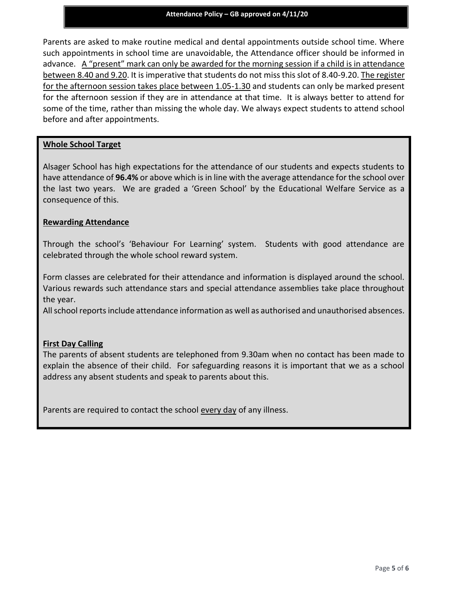Parents are asked to make routine medical and dental appointments outside school time. Where such appointments in school time are unavoidable, the Attendance officer should be informed in advance. A "present" mark can only be awarded for the morning session if a child is in attendance between 8.40 and 9.20. It is imperative that students do not miss this slot of 8.40-9.20. The register for the afternoon session takes place between 1.05-1.30 and students can only be marked present for the afternoon session if they are in attendance at that time. It is always better to attend for some of the time, rather than missing the whole day. We always expect students to attend school before and after appointments.

#### **Whole School Target**

Alsager School has high expectations for the attendance of our students and expects students to have attendance of **96.4%** or above which is in line with the average attendance for the school over the last two years. We are graded a 'Green School' by the Educational Welfare Service as a consequence of this.

#### **Rewarding Attendance**

Through the school's 'Behaviour For Learning' system. Students with good attendance are celebrated through the whole school reward system.

Form classes are celebrated for their attendance and information is displayed around the school. Various rewards such attendance stars and special attendance assemblies take place throughout the year.

All school reports include attendance information as well as authorised and unauthorised absences.

#### **First Day Calling**

The parents of absent students are telephoned from 9.30am when no contact has been made to explain the absence of their child. For safeguarding reasons it is important that we as a school address any absent students and speak to parents about this.

Parents are required to contact the school every day of any illness.